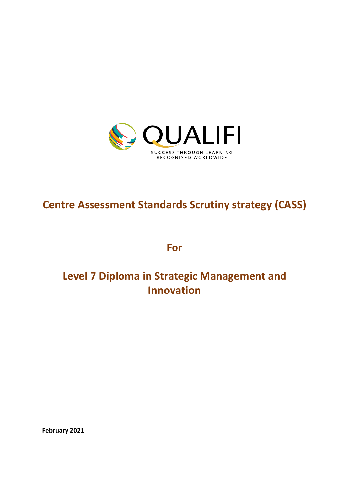

# **Centre Assessment Standards Scrutiny strategy (CASS)**

**For**

# **Level 7 Diploma in Strategic Management and Innovation**

**February 2021**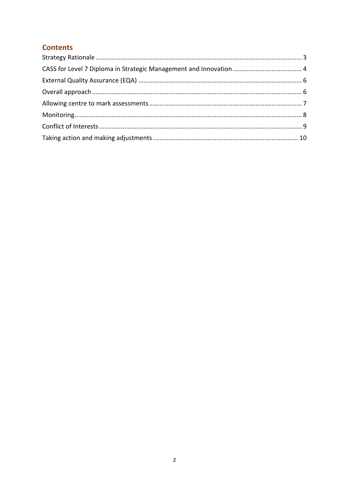# **Contents**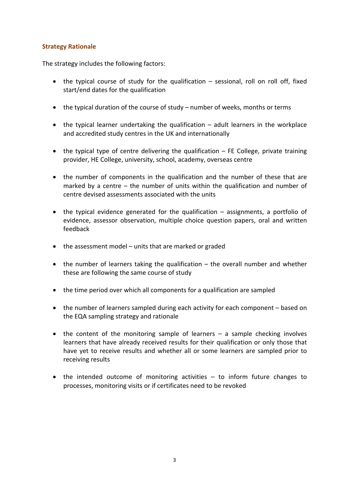## **Strategy Rationale**

The strategy includes the following factors:

- the typical course of study for the qualification sessional, roll on roll off, fixed start/end dates for the qualification
- the typical duration of the course of study number of weeks, months or terms
- the typical learner undertaking the qualification adult learners in the workplace and accredited study centres in the UK and internationally
- $\bullet$  the typical type of centre delivering the qualification  $-$  FE College, private training provider, HE College, university, school, academy, overseas centre
- the number of components in the qualification and the number of these that are marked by a centre – the number of units within the qualification and number of centre devised assessments associated with the units
- the typical evidence generated for the qualification assignments, a portfolio of evidence, assessor observation, multiple choice question papers, oral and written feedback
- the assessment model units that are marked or graded
- the number of learners taking the qualification the overall number and whether these are following the same course of study
- the time period over which all components for a qualification are sampled
- the number of learners sampled during each activity for each component based on the EQA sampling strategy and rationale
- the content of the monitoring sample of learners a sample checking involves learners that have already received results for their qualification or only those that have yet to receive results and whether all or some learners are sampled prior to receiving results
- the intended outcome of monitoring activities to inform future changes to processes, monitoring visits or if certificates need to be revoked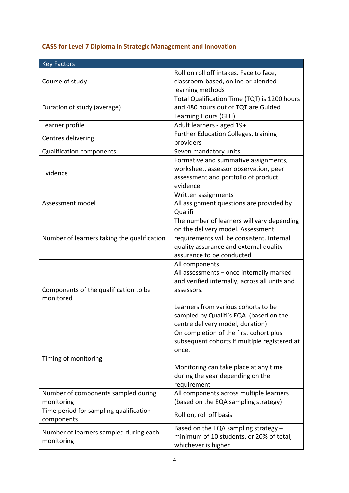# **CASS for Level 7 Diploma in Strategic Management and Innovation**

| <b>Key Factors</b>                                   |                                                       |
|------------------------------------------------------|-------------------------------------------------------|
|                                                      | Roll on roll off intakes. Face to face,               |
| Course of study                                      | classroom-based, online or blended                    |
|                                                      | learning methods                                      |
| Duration of study (average)                          | Total Qualification Time (TQT) is 1200 hours          |
|                                                      | and 480 hours out of TQT are Guided                   |
|                                                      | Learning Hours (GLH)                                  |
| Learner profile                                      | Adult learners - aged 19+                             |
| Centres delivering                                   | <b>Further Education Colleges, training</b>           |
|                                                      | providers                                             |
| <b>Qualification components</b>                      | Seven mandatory units                                 |
|                                                      | Formative and summative assignments,                  |
| Evidence                                             | worksheet, assessor observation, peer                 |
|                                                      | assessment and portfolio of product                   |
|                                                      | evidence                                              |
|                                                      | Written assignments                                   |
| Assessment model                                     | All assignment questions are provided by              |
|                                                      | Qualifi<br>The number of learners will vary depending |
|                                                      | on the delivery model. Assessment                     |
|                                                      | requirements will be consistent. Internal             |
| Number of learners taking the qualification          | quality assurance and external quality                |
|                                                      | assurance to be conducted                             |
|                                                      | All components.                                       |
|                                                      | All assessments - once internally marked              |
|                                                      | and verified internally, across all units and         |
| Components of the qualification to be                | assessors.                                            |
| monitored                                            |                                                       |
|                                                      | Learners from various cohorts to be                   |
|                                                      | sampled by Qualifi's EQA (based on the                |
|                                                      | centre delivery model, duration)                      |
|                                                      | On completion of the first cohort plus                |
|                                                      | subsequent cohorts if multiple registered at          |
|                                                      | once.                                                 |
| Timing of monitoring                                 |                                                       |
|                                                      | Monitoring can take place at any time                 |
|                                                      | during the year depending on the                      |
|                                                      | requirement                                           |
| Number of components sampled during                  | All components across multiple learners               |
| monitoring                                           | (based on the EQA sampling strategy)                  |
| Time period for sampling qualification<br>components | Roll on, roll off basis                               |
| Number of learners sampled during each               | Based on the EQA sampling strategy $-$                |
| monitoring                                           | minimum of 10 students, or 20% of total,              |
|                                                      | whichever is higher                                   |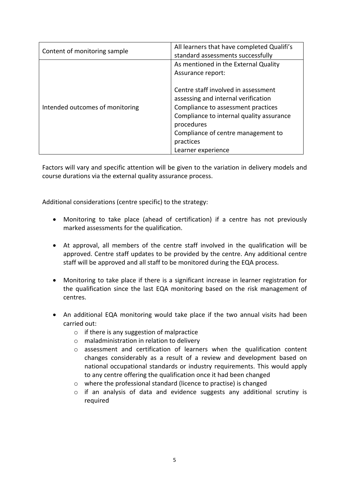| Content of monitoring sample    | All learners that have completed Qualifi's<br>standard assessments successfully |
|---------------------------------|---------------------------------------------------------------------------------|
| Intended outcomes of monitoring | As mentioned in the External Quality                                            |
|                                 | Assurance report:                                                               |
|                                 | Centre staff involved in assessment<br>assessing and internal verification      |
|                                 | Compliance to assessment practices                                              |
|                                 | Compliance to internal quality assurance<br>procedures                          |
|                                 | Compliance of centre management to                                              |
|                                 | practices                                                                       |
|                                 | Learner experience                                                              |

Factors will vary and specific attention will be given to the variation in delivery models and course durations via the external quality assurance process.

Additional considerations (centre specific) to the strategy:

- Monitoring to take place (ahead of certification) if a centre has not previously marked assessments for the qualification.
- At approval, all members of the centre staff involved in the qualification will be approved. Centre staff updates to be provided by the centre. Any additional centre staff will be approved and all staff to be monitored during the EQA process.
- Monitoring to take place if there is a significant increase in learner registration for the qualification since the last EQA monitoring based on the risk management of centres.
- An additional EQA monitoring would take place if the two annual visits had been carried out:
	- o if there is any suggestion of malpractice
	- o maladministration in relation to delivery
	- o assessment and certification of learners when the qualification content changes considerably as a result of a review and development based on national occupational standards or industry requirements. This would apply to any centre offering the qualification once it had been changed
	- o where the professional standard (licence to practise) is changed
	- o if an analysis of data and evidence suggests any additional scrutiny is required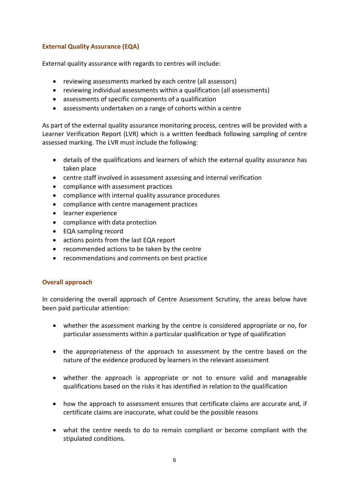# **External Quality Assurance (EQA)**

External quality assurance with regards to centres will include:

- reviewing assessments marked by each centre (all assessors)
- reviewing individual assessments within a qualification (all assessments)
- assessments of specific components of a qualification
- assessments undertaken on a range of cohorts within a centre

As part of the external quality assurance monitoring process, centres will be provided with a Learner Verification Report (LVR) which is a written feedback following sampling of centre assessed marking. The LVR must include the following:

- details of the qualifications and learners of which the external quality assurance has taken place
- centre staff involved in assessment assessing and internal verification
- compliance with assessment practices
- compliance with internal quality assurance procedures
- compliance with centre management practices
- learner experience
- compliance with data protection
- EQA sampling record
- actions points from the last EQA report
- recommended actions to be taken by the centre
- recommendations and comments on best practice

#### **Overall approach**

In considering the overall approach of Centre Assessment Scrutiny, the areas below have been paid particular attention:

- whether the assessment marking by the centre is considered appropriate or no, for particular assessments within a particular qualification or type of qualification
- the appropriateness of the approach to assessment by the centre based on the nature of the evidence produced by learners in the relevant assessment
- whether the approach is appropriate or not to ensure valid and manageable qualifications based on the risks it has identified in relation to the qualification
- how the approach to assessment ensures that certificate claims are accurate and, if certificate claims are inaccurate, what could be the possible reasons
- what the centre needs to do to remain compliant or become compliant with the stipulated conditions.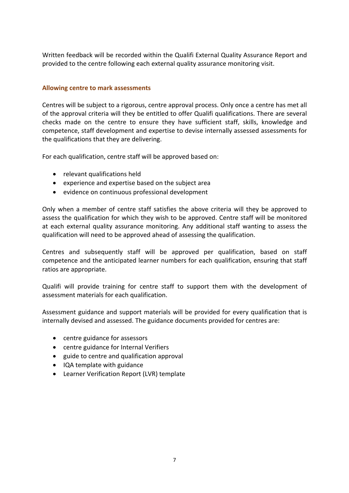Written feedback will be recorded within the Qualifi External Quality Assurance Report and provided to the centre following each external quality assurance monitoring visit.

### **Allowing centre to mark assessments**

Centres will be subject to a rigorous, centre approval process. Only once a centre has met all of the approval criteria will they be entitled to offer Qualifi qualifications. There are several checks made on the centre to ensure they have sufficient staff, skills, knowledge and competence, staff development and expertise to devise internally assessed assessments for the qualifications that they are delivering.

For each qualification, centre staff will be approved based on:

- relevant qualifications held
- experience and expertise based on the subject area
- evidence on continuous professional development

Only when a member of centre staff satisfies the above criteria will they be approved to assess the qualification for which they wish to be approved. Centre staff will be monitored at each external quality assurance monitoring. Any additional staff wanting to assess the qualification will need to be approved ahead of assessing the qualification.

Centres and subsequently staff will be approved per qualification, based on staff competence and the anticipated learner numbers for each qualification, ensuring that staff ratios are appropriate.

Qualifi will provide training for centre staff to support them with the development of assessment materials for each qualification.

Assessment guidance and support materials will be provided for every qualification that is internally devised and assessed. The guidance documents provided for centres are:

- centre guidance for assessors
- centre guidance for Internal Verifiers
- guide to centre and qualification approval
- IQA template with guidance
- Learner Verification Report (LVR) template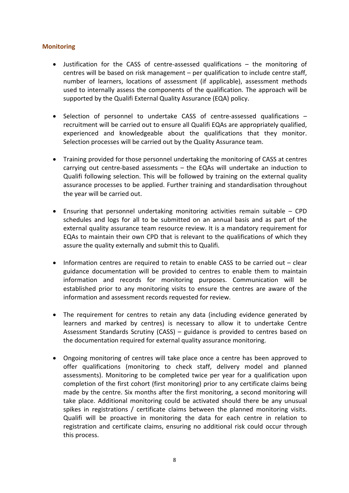### **Monitoring**

- Justification for the CASS of centre-assessed qualifications the monitoring of centres will be based on risk management – per qualification to include centre staff, number of learners, locations of assessment (if applicable), assessment methods used to internally assess the components of the qualification. The approach will be supported by the Qualifi External Quality Assurance (EQA) policy.
- Selection of personnel to undertake CASS of centre-assessed qualifications recruitment will be carried out to ensure all Qualifi EQAs are appropriately qualified, experienced and knowledgeable about the qualifications that they monitor. Selection processes will be carried out by the Quality Assurance team.
- Training provided for those personnel undertaking the monitoring of CASS at centres carrying out centre-based assessments – the EQAs will undertake an induction to Qualifi following selection. This will be followed by training on the external quality assurance processes to be applied. Further training and standardisation throughout the year will be carried out.
- Ensuring that personnel undertaking monitoring activities remain suitable CPD schedules and logs for all to be submitted on an annual basis and as part of the external quality assurance team resource review. It is a mandatory requirement for EQAs to maintain their own CPD that is relevant to the qualifications of which they assure the quality externally and submit this to Qualifi.
- Information centres are required to retain to enable CASS to be carried out clear guidance documentation will be provided to centres to enable them to maintain information and records for monitoring purposes. Communication will be established prior to any monitoring visits to ensure the centres are aware of the information and assessment records requested for review.
- The requirement for centres to retain any data (including evidence generated by learners and marked by centres) is necessary to allow it to undertake Centre Assessment Standards Scrutiny (CASS) – guidance is provided to centres based on the documentation required for external quality assurance monitoring.
- Ongoing monitoring of centres will take place once a centre has been approved to offer qualifications (monitoring to check staff, delivery model and planned assessments). Monitoring to be completed twice per year for a qualification upon completion of the first cohort (first monitoring) prior to any certificate claims being made by the centre. Six months after the first monitoring, a second monitoring will take place. Additional monitoring could be activated should there be any unusual spikes in registrations / certificate claims between the planned monitoring visits. Qualifi will be proactive in monitoring the data for each centre in relation to registration and certificate claims, ensuring no additional risk could occur through this process.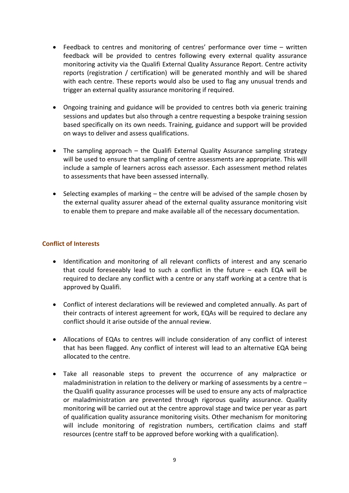- Feedback to centres and monitoring of centres' performance over time written feedback will be provided to centres following every external quality assurance monitoring activity via the Qualifi External Quality Assurance Report. Centre activity reports (registration / certification) will be generated monthly and will be shared with each centre. These reports would also be used to flag any unusual trends and trigger an external quality assurance monitoring if required.
- Ongoing training and guidance will be provided to centres both via generic training sessions and updates but also through a centre requesting a bespoke training session based specifically on its own needs. Training, guidance and support will be provided on ways to deliver and assess qualifications.
- The sampling approach the Qualifi External Quality Assurance sampling strategy will be used to ensure that sampling of centre assessments are appropriate. This will include a sample of learners across each assessor. Each assessment method relates to assessments that have been assessed internally.
- Selecting examples of marking the centre will be advised of the sample chosen by the external quality assurer ahead of the external quality assurance monitoring visit to enable them to prepare and make available all of the necessary documentation.

## **Conflict of Interests**

- Identification and monitoring of all relevant conflicts of interest and any scenario that could foreseeably lead to such a conflict in the future – each EQA will be required to declare any conflict with a centre or any staff working at a centre that is approved by Qualifi.
- Conflict of interest declarations will be reviewed and completed annually. As part of their contracts of interest agreement for work, EQAs will be required to declare any conflict should it arise outside of the annual review.
- Allocations of EQAs to centres will include consideration of any conflict of interest that has been flagged. Any conflict of interest will lead to an alternative EQA being allocated to the centre.
- Take all reasonable steps to prevent the occurrence of any malpractice or maladministration in relation to the delivery or marking of assessments by a centre – the Qualifi quality assurance processes will be used to ensure any acts of malpractice or maladministration are prevented through rigorous quality assurance. Quality monitoring will be carried out at the centre approval stage and twice per year as part of qualification quality assurance monitoring visits. Other mechanism for monitoring will include monitoring of registration numbers, certification claims and staff resources (centre staff to be approved before working with a qualification).